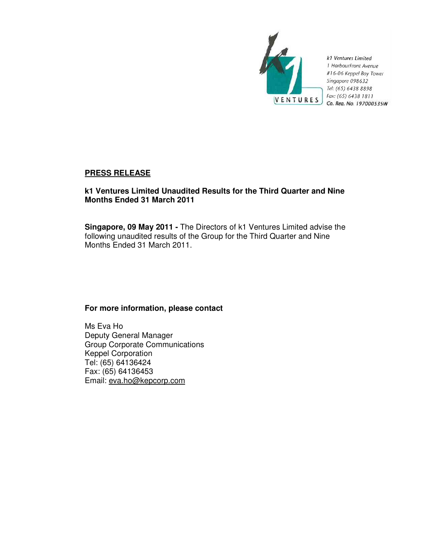

k1 Ventures Limited 1 HarbourFront Avenue #16-06 Keppel Bay Tower Singapore 098632 Tel: (65) 6438 8898 Fax: (65) 6438 1811 Co. Rea. No. 197000535W

# **PRESS RELEASE**

# **k1 Ventures Limited Unaudited Results for the Third Quarter and Nine Months Ended 31 March 2011**

**Singapore, 09 May 2011 -** The Directors of k1 Ventures Limited advise the following unaudited results of the Group for the Third Quarter and Nine Months Ended 31 March 2011.

# **For more information, please contact**

Ms Eva Ho Deputy General Manager Group Corporate Communications Keppel Corporation Tel: (65) 64136424 Fax: (65) 64136453 Email: eva.ho@kepcorp.com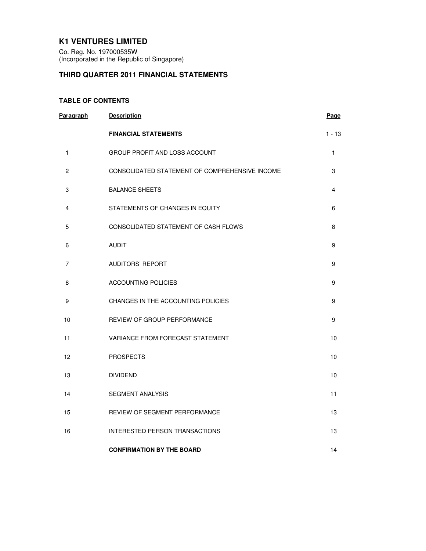# **K1 VENTURES LIMITED**

Co. Reg. No. 197000535W (Incorporated in the Republic of Singapore)

# **THIRD QUARTER 2011 FINANCIAL STATEMENTS**

## **TABLE OF CONTENTS**

| Paragraph       | <b>Description</b>                             | Page     |
|-----------------|------------------------------------------------|----------|
|                 | <b>FINANCIAL STATEMENTS</b>                    | $1 - 13$ |
| $\mathbf{1}$    | <b>GROUP PROFIT AND LOSS ACCOUNT</b>           | 1        |
| $\mathbf{2}$    | CONSOLIDATED STATEMENT OF COMPREHENSIVE INCOME | 3        |
| 3               | <b>BALANCE SHEETS</b>                          | 4        |
| 4               | STATEMENTS OF CHANGES IN EQUITY                | 6        |
| 5               | CONSOLIDATED STATEMENT OF CASH FLOWS           | 8        |
| 6               | <b>AUDIT</b>                                   | 9        |
| 7               | <b>AUDITORS' REPORT</b>                        | 9        |
| 8               | <b>ACCOUNTING POLICIES</b>                     | 9        |
| 9               | CHANGES IN THE ACCOUNTING POLICIES             | 9        |
| 10              | REVIEW OF GROUP PERFORMANCE                    | 9        |
| 11              | VARIANCE FROM FORECAST STATEMENT               | 10       |
| 12 <sup>2</sup> | <b>PROSPECTS</b>                               | 10       |
| 13              | <b>DIVIDEND</b>                                | 10       |
| 14              | <b>SEGMENT ANALYSIS</b>                        | 11       |
| 15              | REVIEW OF SEGMENT PERFORMANCE                  | 13       |
| 16              | <b>INTERESTED PERSON TRANSACTIONS</b>          | 13       |
|                 | <b>CONFIRMATION BY THE BOARD</b>               | 14       |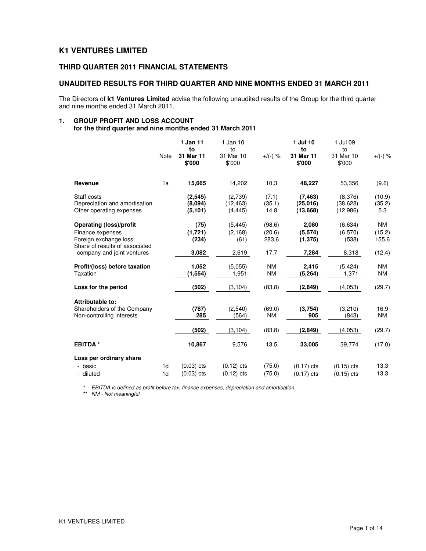# **K1 VENTURES LIMITED**

# **THIRD QUARTER 2011 FINANCIAL STATEMENTS**

### **UNAUDITED RESULTS FOR THIRD QUARTER AND NINE MONTHS ENDED 31 MARCH 2011**

The Directors of **k1 Ventures Limited** advise the following unaudited results of the Group for the third quarter and nine months ended 31 March 2011.

# **1. GROUP PROFIT AND LOSS ACCOUNT**

**for the third quarter and nine months ended 31 March 2011** 

|                                                                                                                                      | <b>Note</b>    | 1 Jan 11<br>to<br>31 Mar 11<br>\$'000 | 1 Jan 10<br>to<br>31 Mar 10<br>\$'000 | $+/(-)$ %                         | 1 Jul 10<br>to<br>31 Mar 11<br>\$'000 | 1 Jul 09<br>to<br>31 Mar 10<br>\$'000 | $+$ /(-) %                      |
|--------------------------------------------------------------------------------------------------------------------------------------|----------------|---------------------------------------|---------------------------------------|-----------------------------------|---------------------------------------|---------------------------------------|---------------------------------|
| Revenue                                                                                                                              | 1a             | 15,665                                | 14,202                                | 10.3                              | 48,227                                | 53.356                                | (9.6)                           |
| Staff costs<br>Depreciation and amortisation<br>Other operating expenses                                                             |                | (2,545)<br>(8,094)<br>(5, 101)        | (2,739)<br>(12, 463)<br>(4, 445)      | (7.1)<br>(35.1)<br>14.8           | (7, 463)<br>(25,016)<br>(13,668)      | (8,376)<br>(38, 628)<br>(12,986)      | (10.9)<br>(35.2)<br>5.3         |
| Operating (loss)/profit<br>Finance expenses<br>Foreign exchange loss<br>Share of results of associated<br>company and joint ventures |                | (75)<br>(1,721)<br>(234)<br>3,082     | (5, 445)<br>(2, 168)<br>(61)<br>2,619 | (98.6)<br>(20.6)<br>283.6<br>17.7 | 2,080<br>(5,574)<br>(1, 375)<br>7,284 | (6,634)<br>(6,570)<br>(538)<br>8,318  | NM<br>(15.2)<br>155.6<br>(12.4) |
| Profit/(loss) before taxation<br>Taxation                                                                                            |                | 1,052<br>(1, 554)                     | (5,055)<br>1,951                      | <b>NM</b><br><b>NM</b>            | 2,415<br>(5,264)                      | (5, 424)<br>1,371                     | <b>NM</b><br><b>NM</b>          |
| Loss for the period                                                                                                                  |                | (502)                                 | (3, 104)                              | (83.8)                            | (2,849)                               | (4.053)                               | (29.7)                          |
| Attributable to:<br>Shareholders of the Company<br>Non-controlling interests                                                         |                | (787)<br>285                          | (2, 540)<br>(564)                     | (69.0)<br><b>NM</b>               | (3,754)<br>905                        | (3,210)<br>(843)                      | 16.9<br><b>NM</b>               |
|                                                                                                                                      |                | (502)                                 | (3, 104)                              | (83.8)                            | (2,849)                               | (4,053)                               | (29.7)                          |
| <b>EBITDA*</b>                                                                                                                       |                | 10,867                                | 9,576                                 | 13.5                              | 33,005                                | 39,774                                | (17.0)                          |
| Loss per ordinary share<br>- basic                                                                                                   | 1 <sub>d</sub> | $(0.03)$ cts                          |                                       | (75.0)                            |                                       |                                       | 13.3                            |
| - diluted                                                                                                                            | 1 <sub>d</sub> | $(0.03)$ cts                          | $(0.12)$ cts<br>$(0.12)$ cts          | (75.0)                            | $(0.17)$ cts<br>$(0.17)$ cts          | $(0.15)$ cts<br>$(0.15)$ cts          | 13.3                            |

\* EBITDA is defined as profit before tax, finance expenses, depreciation and amortisation.

\*\* NM - Not meaningful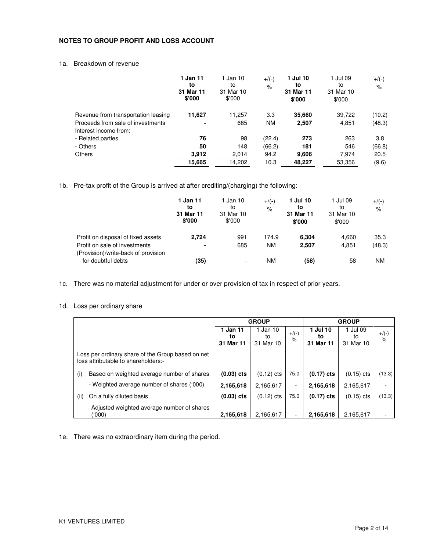## **NOTES TO GROUP PROFIT AND LOSS ACCOUNT**

## 1a. Breakdown of revenue

|                                     | 1 Jan 11<br>to<br>31 Mar 11<br>\$'000 | 1 Jan 10<br>to<br>31 Mar 10<br>\$'000 | $+$ /(-)<br>$\%$ | 1 Jul 10<br>to<br>31 Mar 11<br>\$'000 | 1 Jul 09<br>to<br>31 Mar 10<br>\$'000 | $+$ /(-)<br>$\%$ |
|-------------------------------------|---------------------------------------|---------------------------------------|------------------|---------------------------------------|---------------------------------------|------------------|
| Revenue from transportation leasing | 11,627                                | 11,257                                | 3.3              | 35,660                                | 39,722                                | (10.2)           |
| Proceeds from sale of investments   |                                       | 685                                   | <b>NM</b>        | 2,507                                 | 4,851                                 | (48.3)           |
| Interest income from:               |                                       |                                       |                  |                                       |                                       |                  |
| - Related parties                   | 76                                    | 98                                    | (22.4)           | 273                                   | 263                                   | 3.8              |
| - Others                            | 50                                    | 148                                   | (66.2)           | 181                                   | 546                                   | (66.8)           |
| <b>Others</b>                       | 3,912                                 | 2,014                                 | 94.2             | 9,606                                 | 7,974                                 | 20.5             |
|                                     | 15,665                                | 14,202                                | 10.3             | 48,227                                | 53,356                                | (9.6)            |

1b. Pre-tax profit of the Group is arrived at after crediting/(charging) the following:

|                                                                      | 1 Jan 11<br>to<br>31 Mar 11<br>\$'000 | 1 Jan 10<br>to<br>31 Mar 10<br>\$'000 | $+$ /(-)<br>$\%$ | 1 Jul 10<br>to<br>31 Mar 11<br>\$'000 | 1 Jul 09<br>to<br>31 Mar 10<br>\$'000 | $+$ /(-)<br>$\%$ |
|----------------------------------------------------------------------|---------------------------------------|---------------------------------------|------------------|---------------------------------------|---------------------------------------|------------------|
| Profit on disposal of fixed assets                                   | 2,724                                 | 991                                   | 174.9            | 6.304                                 | 4,660                                 | 35.3             |
| Profit on sale of investments<br>(Provision)/write-back of provision | ۰                                     | 685                                   | <b>NM</b>        | 2,507                                 | 4,851                                 | (48.3)           |
| for doubtful debts                                                   | (35)                                  | $\overline{\phantom{a}}$              | ΝM               | (58)                                  | 58                                    | ΝM               |

1c. There was no material adjustment for under or over provision of tax in respect of prior years.

## 1d. Loss per ordinary share

|      |                                                                                          | <b>GROUP</b> |              |                          | <b>GROUP</b> |              |                           |
|------|------------------------------------------------------------------------------------------|--------------|--------------|--------------------------|--------------|--------------|---------------------------|
|      |                                                                                          | 1 Jan 11     | Jan 10       | $+$ /(-)                 | 1 Jul 10     | 1 Jul 09     |                           |
|      |                                                                                          | to           | to           | $\%$                     | to           | to           | $+$ /(-)<br>$\frac{1}{6}$ |
|      |                                                                                          | 31 Mar 11    | 31 Mar 10    |                          | 31 Mar 11    | 31 Mar 10    |                           |
|      | Loss per ordinary share of the Group based on net<br>loss attributable to shareholders:- |              |              |                          |              |              |                           |
| (i)  | Based on weighted average number of shares                                               | $(0.03)$ cts | $(0.12)$ cts | 75.0                     | $(0.17)$ cts | $(0.15)$ cts | (13.3)                    |
|      | - Weighted average number of shares ('000)                                               | 2,165,618    | 2,165,617    | $\overline{\phantom{a}}$ | 2,165,618    | 2,165,617    | $\overline{\phantom{0}}$  |
| (ii) | On a fully diluted basis                                                                 | $(0.03)$ cts | $(0.12)$ cts | 75.0                     | $(0.17)$ cts | $(0.15)$ cts | (13.3)                    |
|      | - Adjusted weighted average number of shares<br>('000)                                   | 2,165,618    | 2,165,617    |                          | 2,165,618    | 2,165,617    |                           |

1e. There was no extraordinary item during the period.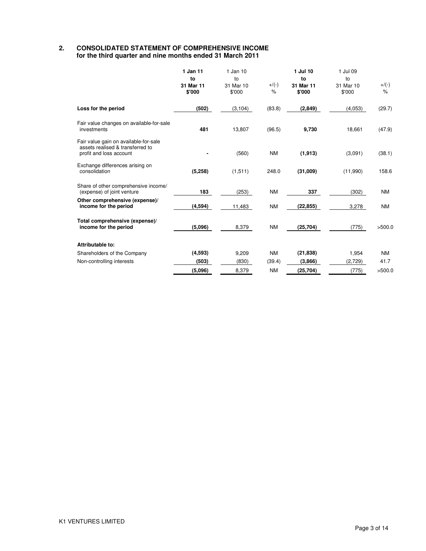#### **2. CONSOLIDATED STATEMENT OF COMPREHENSIVE INCOME for the third quarter and nine months ended 31 March 2011**

|                                                                                                      | 1 Jan 11<br>to<br>31 Mar 11<br>\$'000 | 1 Jan 10<br>to<br>31 Mar 10<br>\$'000 | $+/(-)$<br>$\%$ | 1 Jul 10<br>to<br>31 Mar 11<br>\$'000 | 1 Jul 09<br>to<br>31 Mar 10<br>\$'000 | $+/(-)$<br>$\frac{9}{6}$ |
|------------------------------------------------------------------------------------------------------|---------------------------------------|---------------------------------------|-----------------|---------------------------------------|---------------------------------------|--------------------------|
| Loss for the period                                                                                  | (502)                                 | (3, 104)                              | (83.8)          | (2,849)                               | (4,053)                               | (29.7)                   |
| Fair value changes on available-for-sale<br>investments                                              | 481                                   | 13,807                                | (96.5)          | 9,730                                 | 18,661                                | (47.9)                   |
| Fair value gain on available-for-sale<br>assets realised & transferred to<br>profit and loss account |                                       | (560)                                 | <b>NM</b>       | (1, 913)                              | (3,091)                               | (38.1)                   |
| Exchange differences arising on<br>consolidation                                                     | (5, 258)                              | (1, 511)                              | 248.0           | (31,009)                              | (11,990)                              | 158.6                    |
| Share of other comprehensive income/<br>(expense) of joint venture                                   | 183                                   | (253)                                 | <b>NM</b>       | 337                                   | (302)                                 | <b>NM</b>                |
| Other comprehensive (expense)/<br>income for the period                                              | (4, 594)                              | 11,483                                | <b>NM</b>       | (22, 855)                             | 3,278                                 | <b>NM</b>                |
| Total comprehensive (expense)/<br>income for the period                                              | (5,096)                               | 8,379                                 | <b>NM</b>       | (25, 704)                             | (775)                                 | >500.0                   |
| Attributable to:                                                                                     |                                       |                                       |                 |                                       |                                       |                          |
| Shareholders of the Company                                                                          | (4,593)                               | 9,209                                 | <b>NM</b>       | (21, 838)                             | 1,954                                 | <b>NM</b>                |
| Non-controlling interests                                                                            | (503)                                 | (830)                                 | (39.4)          | (3,866)                               | (2,729)                               | 41.7                     |
|                                                                                                      | (5,096)                               | 8,379                                 | <b>NM</b>       | (25, 704)                             | (775)                                 | >500.0                   |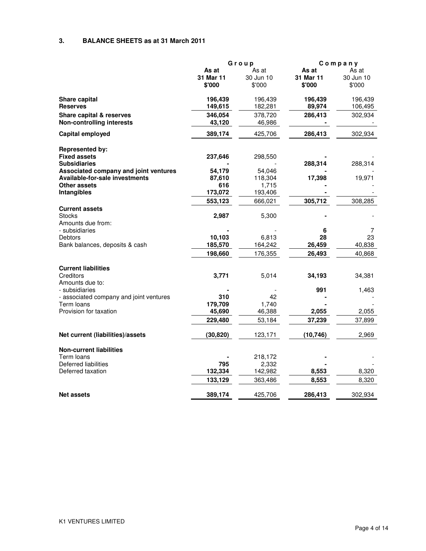## **3. BALANCE SHEETS as at 31 March 2011**

|                                                       |                     | Group               | Company             |                     |
|-------------------------------------------------------|---------------------|---------------------|---------------------|---------------------|
|                                                       | As at               | As at               | As at               | As at               |
|                                                       | 31 Mar 11<br>\$'000 | 30 Jun 10<br>\$'000 | 31 Mar 11<br>\$'000 | 30 Jun 10<br>\$'000 |
| Share capital                                         | 196,439             | 196,439             | 196,439             | 196,439             |
| <b>Reserves</b>                                       | 149,615             | 182,281             | 89,974              | 106,495             |
| <b>Share capital &amp; reserves</b>                   | 346,054             | 378,720             | 286,413             | 302,934             |
| <b>Non-controlling interests</b>                      | 43,120              | 46,986              |                     |                     |
| <b>Capital employed</b>                               | 389,174             | 425,706             | 286,413             | 302,934             |
| <b>Represented by:</b>                                |                     |                     |                     |                     |
| <b>Fixed assets</b>                                   | 237,646             | 298,550             |                     |                     |
| <b>Subsidiaries</b>                                   |                     |                     | 288,314             | 288,314             |
| Associated company and joint ventures                 | 54,179              | 54,046              |                     |                     |
| Available-for-sale investments                        | 87,610              | 118,304             | 17,398              | 19,971              |
| <b>Other assets</b>                                   | 616                 | 1,715               |                     |                     |
| Intangibles                                           | 173,072             | 193,406             |                     |                     |
|                                                       | 553,123             | 666,021             | 305,712             | 308,285             |
| <b>Current assets</b><br><b>Stocks</b>                | 2,987               | 5,300               |                     |                     |
| Amounts due from:                                     |                     |                     |                     |                     |
| - subsidiaries                                        |                     |                     | 6                   | 7                   |
| <b>Debtors</b>                                        | 10,103              | 6,813               | 28                  | 23                  |
| Bank balances, deposits & cash                        | 185,570             | 164,242             | 26,459              | 40,838              |
|                                                       | 198,660             | 176,355             | 26,493              | 40,868              |
| <b>Current liabilities</b>                            |                     |                     |                     |                     |
| Creditors                                             | 3,771               | 5,014               | 34,193              | 34,381              |
| Amounts due to:                                       |                     |                     |                     |                     |
| - subsidiaries                                        |                     |                     | 991                 | 1,463               |
| - associated company and joint ventures<br>Term Ioans | 310<br>179,709      | 42<br>1,740         |                     |                     |
| Provision for taxation                                | 45,690              | 46,388              | 2,055               | 2,055               |
|                                                       | 229,480             | 53,184              | 37,239              | 37,899              |
|                                                       |                     |                     |                     |                     |
| Net current (liabilities)/assets                      | (30, 820)           | 123,171             | (10, 746)           | 2,969               |
| <b>Non-current liabilities</b>                        |                     |                     |                     |                     |
| Term loans                                            |                     | 218,172             |                     |                     |
| Deferred liabilities                                  | 795                 | 2,332               |                     |                     |
| Deferred taxation                                     | 132,334             | 142,982             | 8,553               | 8,320               |
|                                                       | 133,129             | 363,486             | 8,553               | 8,320               |
| <b>Net assets</b>                                     | 389,174             | 425,706             | 286,413             | 302,934             |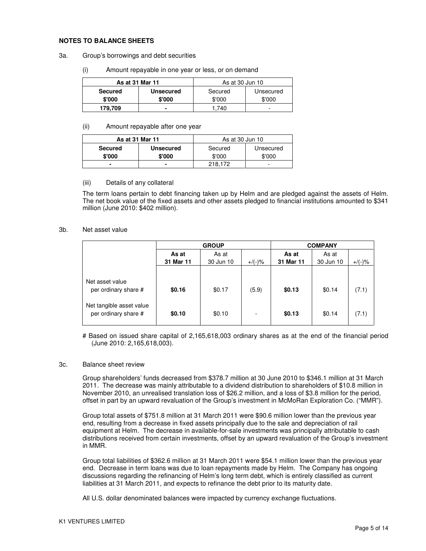#### **NOTES TO BALANCE SHEETS**

- 3a. Group's borrowings and debt securities
	- (i) Amount repayable in one year or less, or on demand

| As at 31 Mar 11 |                  | As at 30 Jun 10 |           |  |
|-----------------|------------------|-----------------|-----------|--|
| <b>Secured</b>  | <b>Unsecured</b> | Secured         | Unsecured |  |
| \$'000          | \$'000           | \$'000          | \$'000    |  |
| 179.709         |                  | 740             | -         |  |

#### (ii) Amount repayable after one year

| As at 31 Mar 11 |                  | As at 30 Jun 10 |           |  |
|-----------------|------------------|-----------------|-----------|--|
| <b>Secured</b>  | <b>Unsecured</b> | Secured         | Unsecured |  |
| \$'000          | \$'000           | \$'000          | \$'000    |  |
|                 |                  | 218.172         | -         |  |

#### (iii) Details of any collateral

The term loans pertain to debt financing taken up by Helm and are pledged against the assets of Helm. The net book value of the fixed assets and other assets pledged to financial institutions amounted to \$341 million (June 2010: \$402 million).

#### 3b. Net asset value

|                                                                     |           | <b>GROUP</b> |           | <b>COMPANY</b> |           |           |
|---------------------------------------------------------------------|-----------|--------------|-----------|----------------|-----------|-----------|
|                                                                     | As at     | As at        |           | As at          | As at     |           |
|                                                                     | 31 Mar 11 | 30 Jun 10    | $+$ /(-)% | 31 Mar 11      | 30 Jun 10 | $+/(-)$ % |
| Net asset value<br>per ordinary share #<br>Net tangible asset value | \$0.16    | \$0.17       | (5.9)     | \$0.13         | \$0.14    | (7.1)     |
| per ordinary share #                                                | \$0.10    | \$0.10       | ٠         | \$0.13         | \$0.14    | (7.1)     |

# Based on issued share capital of 2,165,618,003 ordinary shares as at the end of the financial period (June 2010: 2,165,618,003).

#### 3c. Balance sheet review

Group shareholders' funds decreased from \$378.7 million at 30 June 2010 to \$346.1 million at 31 March 2011. The decrease was mainly attributable to a dividend distribution to shareholders of \$10.8 million in November 2010, an unrealised translation loss of \$26.2 million, and a loss of \$3.8 million for the period, offset in part by an upward revaluation of the Group's investment in McMoRan Exploration Co. ("MMR").

Group total assets of \$751.8 million at 31 March 2011 were \$90.6 million lower than the previous year end, resulting from a decrease in fixed assets principally due to the sale and depreciation of rail equipment at Helm. The decrease in available-for-sale investments was principally attributable to cash distributions received from certain investments, offset by an upward revaluation of the Group's investment in MMR.

Group total liabilities of \$362.6 million at 31 March 2011 were \$54.1 million lower than the previous year end. Decrease in term loans was due to loan repayments made by Helm. The Company has ongoing discussions regarding the refinancing of Helm's long term debt, which is entirely classified as current liabilities at 31 March 2011, and expects to refinance the debt prior to its maturity date.

All U.S. dollar denominated balances were impacted by currency exchange fluctuations.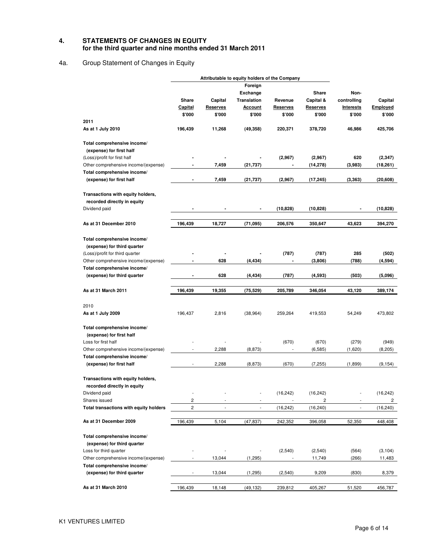#### **4. STATEMENTS OF CHANGES IN EQUITY for the third quarter and nine months ended 31 March 2011**

# 4a. Group Statement of Changes in Equity

|                                                         |                          | Attributable to equity holders of the Company |                          |                 |                 |                          |                 |
|---------------------------------------------------------|--------------------------|-----------------------------------------------|--------------------------|-----------------|-----------------|--------------------------|-----------------|
|                                                         |                          |                                               | Foreign                  |                 |                 |                          |                 |
|                                                         |                          |                                               | <b>Exchange</b>          |                 | Share           | Non-                     |                 |
|                                                         | Share                    | Capital                                       | <b>Translation</b>       | Revenue         | Capital &       | controlling              | Capital         |
|                                                         | <b>Capital</b>           | <b>Reserves</b>                               |                          | <b>Reserves</b> | <b>Reserves</b> | <b>Interests</b>         | <u>Emploved</u> |
|                                                         | \$'000                   | \$'000                                        | <u>Account</u><br>\$'000 | \$'000          | \$'000          | \$'000                   | \$'000          |
| 2011                                                    |                          |                                               |                          |                 |                 |                          |                 |
| As at 1 July 2010                                       | 196,439                  | 11,268                                        | (49, 358)                | 220,371         | 378,720         | 46,986                   | 425,706         |
| Total comprehensive income/                             |                          |                                               |                          |                 |                 |                          |                 |
| (expense) for first half                                |                          |                                               |                          |                 |                 |                          |                 |
|                                                         |                          |                                               |                          |                 |                 |                          |                 |
| (Loss)/profit for first half                            |                          |                                               |                          | (2,967)         | (2,967)         | 620                      | (2, 347)        |
| Other comprehensive income/(expense)                    |                          | 7,459                                         | (21,737)                 |                 | (14, 278)       | (3,983)                  | (18, 261)       |
| Total comprehensive income/<br>(expense) for first half | ٠                        | 7,459                                         | (21,737)                 | (2,967)         | (17, 245)       | (3, 363)                 | (20, 608)       |
| Transactions with equity holders,                       |                          |                                               |                          |                 |                 |                          |                 |
| recorded directly in equity                             |                          |                                               |                          |                 |                 |                          |                 |
| Dividend paid                                           |                          |                                               |                          | (10, 828)       | (10, 828)       |                          | (10, 828)       |
| As at 31 December 2010                                  | 196,439                  | 18,727                                        | (71, 095)                | 206,576         | 350,647         | 43,623                   | 394,270         |
|                                                         |                          |                                               |                          |                 |                 |                          |                 |
| Total comprehensive income/                             |                          |                                               |                          |                 |                 |                          |                 |
| (expense) for third quarter                             |                          |                                               |                          |                 |                 |                          |                 |
| (Loss)/profit for third quarter                         |                          |                                               |                          | (787)           | (787)           | 285                      | (502)           |
| Other comprehensive income/(expense)                    |                          | 628                                           | (4, 434)                 |                 | (3,806)         | (788)                    | (4,594)         |
| Total comprehensive income/                             |                          |                                               |                          |                 |                 |                          |                 |
| (expense) for third quarter                             |                          | 628                                           | (4, 434)                 | (787)           | (4,593)         | (503)                    | (5,096)         |
| As at 31 March 2011                                     | 196,439                  | 19,355                                        | (75, 529)                | 205,789         | 346,054         | 43,120                   | 389,174         |
| 2010                                                    |                          |                                               |                          |                 |                 |                          |                 |
| As at 1 July 2009                                       | 196,437                  | 2,816                                         | (38, 964)                | 259,264         | 419,553         | 54,249                   | 473,802         |
| Total comprehensive income/                             |                          |                                               |                          |                 |                 |                          |                 |
| (expense) for first half                                |                          |                                               |                          |                 |                 |                          |                 |
| Loss for first half                                     |                          |                                               |                          | (670)           | (670)           | (279)                    | (949)           |
|                                                         |                          | 2,288                                         | (8, 873)                 | $\frac{1}{2}$   |                 |                          |                 |
| Other comprehensive income/(expense)                    |                          |                                               |                          |                 | (6, 585)        | (1,620)                  | (8, 205)        |
| Total comprehensive income/<br>(expense) for first half |                          | 2,288                                         | (8, 873)                 | (670)           | (7, 255)        | (1,899)                  | (9, 154)        |
|                                                         |                          |                                               |                          |                 |                 |                          |                 |
| Transactions with equity holders,                       |                          |                                               |                          |                 |                 |                          |                 |
| recorded directly in equity                             |                          |                                               |                          |                 |                 |                          |                 |
| Dividend paid                                           | $\overline{\phantom{m}}$ |                                               | $\frac{1}{2}$            | (16, 242)       | (16, 242)       | $\overline{\phantom{m}}$ | (16, 242)       |
| Shares issued                                           | 2                        |                                               |                          |                 | 2               |                          | 2               |
| Total transactions with equity holders                  | 2                        |                                               |                          | (16, 242)       | (16, 240)       |                          | (16, 240)       |
| As at 31 December 2009                                  | 196,439                  | 5,104                                         | (47, 837)                | 242,352         | 396,058         | 52,350                   | 448,408         |
| Total comprehensive income/                             |                          |                                               |                          |                 |                 |                          |                 |
|                                                         |                          |                                               |                          |                 |                 |                          |                 |
| (expense) for third quarter                             |                          |                                               |                          |                 |                 |                          |                 |
| Loss for third quarter                                  |                          |                                               |                          | (2,540)         | (2, 540)        | (564)                    | (3, 104)        |
| Other comprehensive income/(expense)                    |                          | 13,044                                        | (1, 295)                 |                 | 11,749          | (266)                    | 11,483          |
| Total comprehensive income/                             |                          |                                               |                          |                 |                 |                          |                 |
| (expense) for third quarter                             |                          | 13,044                                        | (1, 295)                 | (2,540)         | 9,209           | (830)                    | 8,379           |
| As at 31 March 2010                                     | 196,439                  | 18,148                                        | (49, 132)                | 239,812         | 405,267         | 51,520                   | 456,787         |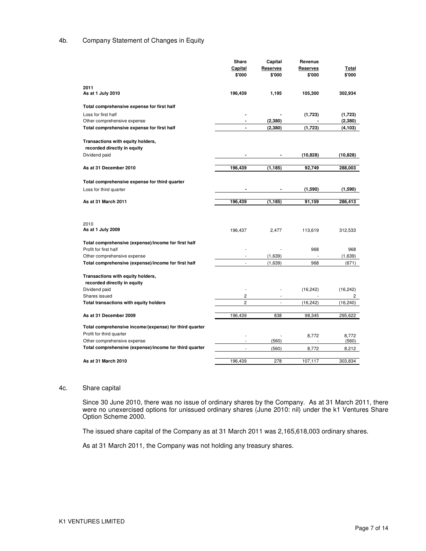#### 4b. Company Statement of Changes in Equity

|                                                        | Share          | Capital         | Revenue   |              |
|--------------------------------------------------------|----------------|-----------------|-----------|--------------|
|                                                        | Capital        | <b>Reserves</b> | Reserves  | <u>Total</u> |
|                                                        | \$'000         | \$'000          | \$'000    | \$'000       |
| 2011                                                   |                |                 |           |              |
| As at 1 July 2010                                      | 196,439        | 1,195           | 105,300   | 302,934      |
| Total comprehensive expense for first half             |                |                 |           |              |
| Loss for first half                                    |                |                 | (1,723)   | (1,723)      |
| Other comprehensive expense                            |                | (2, 380)        |           | (2, 380)     |
| Total comprehensive expense for first half             | $\blacksquare$ | (2, 380)        | (1,723)   | (4, 103)     |
| Transactions with equity holders,                      |                |                 |           |              |
| recorded directly in equity                            |                |                 |           |              |
| Dividend paid                                          |                |                 | (10, 828) | (10, 828)    |
| As at 31 December 2010                                 | 196,439        | (1, 185)        | 92,749    | 288,003      |
|                                                        |                |                 |           |              |
| Total comprehensive expense for third quarter          |                |                 |           |              |
| Loss for third quarter                                 |                |                 | (1,590)   | (1,590)      |
|                                                        |                |                 |           |              |
| As at 31 March 2011                                    | 196,439        | (1, 185)        | 91,159    | 286,413      |
|                                                        |                |                 |           |              |
|                                                        |                |                 |           |              |
| 2010                                                   |                |                 |           |              |
| As at 1 July 2009                                      | 196,437        | 2,477           | 113,619   | 312,533      |
| Total comprehensive (expense)/income for first half    |                |                 |           |              |
| Profit for first half                                  |                |                 | 968       | 968          |
| Other comprehensive expense                            |                | (1,639)         | ä,        | (1,639)      |
| Total comprehensive (expense)/income for first half    | $\mathcal{L}$  | (1,639)         | 968       | (671)        |
|                                                        |                |                 |           |              |
| Transactions with equity holders,                      |                |                 |           |              |
| recorded directly in equity                            |                |                 |           |              |
| Dividend paid                                          |                |                 | (16, 242) | (16, 242)    |
| Shares issued                                          | 2              |                 |           | 2            |
| Total transactions with equity holders                 | 2              | ÷               | (16, 242) | (16, 240)    |
|                                                        |                |                 |           |              |
| As at 31 December 2009                                 | 196,439        | 838             | 98,345    | 295,622      |
| Total comprehensive income/(expense) for third quarter |                |                 |           |              |
| Profit for third quarter                               |                |                 | 8,772     | 8,772        |
| Other comprehensive expense                            |                | (560)           |           | (560)        |
| Total comprehensive (expense)/income for third quarter |                | (560)           | 8,772     | 8,212        |
|                                                        |                |                 |           |              |
| As at 31 March 2010                                    | 196,439        | 278             | 107,117   | 303,834      |

#### 4c. Share capital

Since 30 June 2010, there was no issue of ordinary shares by the Company. As at 31 March 2011, there were no unexercised options for unissued ordinary shares (June 2010: nil) under the k1 Ventures Share Option Scheme 2000.

The issued share capital of the Company as at 31 March 2011 was 2,165,618,003 ordinary shares.

As at 31 March 2011, the Company was not holding any treasury shares.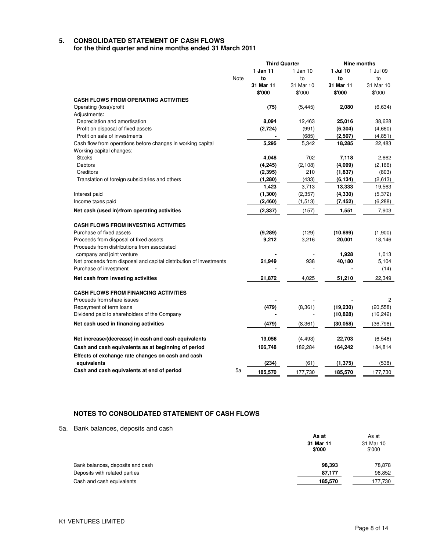#### **5. CONSOLIDATED STATEMENT OF CASH FLOWS for the third quarter and nine months ended 31 March 2011**

|                                                                    |      | <b>Third Quarter</b> |           | <b>Nine months</b> |           |
|--------------------------------------------------------------------|------|----------------------|-----------|--------------------|-----------|
|                                                                    |      | 1 Jan 11             | 1 Jan 10  | 1 Jul 10           | 1 Jul 09  |
|                                                                    | Note | to                   | to        | to                 | to        |
|                                                                    |      | 31 Mar 11            | 31 Mar 10 | 31 Mar 11          | 31 Mar 10 |
|                                                                    |      | \$'000               | \$'000    | \$'000             | \$'000    |
| <b>CASH FLOWS FROM OPERATING ACTIVITIES</b>                        |      |                      |           |                    |           |
| Operating (loss)/profit                                            |      | (75)                 | (5, 445)  | 2,080              | (6,634)   |
| Adjustments:                                                       |      |                      |           |                    |           |
| Depreciation and amortisation                                      |      | 8,094                | 12,463    | 25,016             | 38,628    |
| Profit on disposal of fixed assets                                 |      | (2,724)              | (991)     | (6, 304)           | (4,660)   |
| Profit on sale of investments                                      |      |                      | (685)     | (2,507)            | (4, 851)  |
| Cash flow from operations before changes in working capital        |      | 5,295                | 5,342     | 18,285             | 22,483    |
| Working capital changes:                                           |      |                      |           |                    |           |
| <b>Stocks</b>                                                      |      | 4,048                | 702       | 7,118              | 2,662     |
| Debtors                                                            |      | (4, 245)             | (2, 108)  | (4,099)            | (2, 166)  |
| Creditors                                                          |      | (2, 395)             | 210       | (1,837)            | (803)     |
| Translation of foreign subsidiaries and others                     |      | (1, 280)             | (433)     | (6, 134)           | (2,613)   |
|                                                                    |      | 1,423                | 3,713     | 13,333             | 19,563    |
| Interest paid                                                      |      | (1, 300)             | (2, 357)  | (4, 330)           | (5,372)   |
| Income taxes paid                                                  |      | (2,460)              | (1, 513)  | (7, 452)           | (6, 288)  |
| Net cash (used in)/from operating activities                       |      | (2, 337)             | (157)     | 1,551              | 7,903     |
| <b>CASH FLOWS FROM INVESTING ACTIVITIES</b>                        |      |                      |           |                    |           |
| Purchase of fixed assets                                           |      | (9, 289)             | (129)     | (10, 899)          | (1,900)   |
| Proceeds from disposal of fixed assets                             |      | 9,212                | 3,216     | 20,001             | 18,146    |
| Proceeds from distributions from associated                        |      |                      |           |                    |           |
| company and joint venture                                          |      |                      |           | 1,928              | 1,013     |
| Net proceeds from disposal and capital distribution of investments |      | 21,949               | 938       | 40,180             | 5,104     |
| Purchase of investment                                             |      |                      |           |                    | (14)      |
| Net cash from investing activities                                 |      | 21,872               | 4,025     | 51,210             | 22,349    |
| <b>CASH FLOWS FROM FINANCING ACTIVITIES</b>                        |      |                      |           |                    |           |
| Proceeds from share issues                                         |      |                      |           |                    | 2         |
| Repayment of term loans                                            |      | (479)                | (8, 361)  | (19, 230)          | (20, 558) |
| Dividend paid to shareholders of the Company                       |      |                      |           | (10, 828)          | (16,242)  |
|                                                                    |      |                      |           |                    |           |
| Net cash used in financing activities                              |      | (479)                | (8, 361)  | (30, 058)          | (36, 798) |
| Net increase/(decrease) in cash and cash equivalents               |      | 19,056               | (4, 493)  | 22,703             | (6, 546)  |
| Cash and cash equivalents as at beginning of period                |      | 166,748              | 182,284   | 164,242            | 184,814   |
| Effects of exchange rate changes on cash and cash                  |      |                      |           |                    |           |
| equivalents                                                        |      | (234)                | (61)      | (1, 375)           | (538)     |
| Cash and cash equivalents at end of period                         | 5a   | 185.570              | 177.730   | 185,570            | 177.730   |

# **NOTES TO CONSOLIDATED STATEMENT OF CASH FLOWS**

5a. Bank balances, deposits and cash

|                                  | As at               | As at<br>31 Mar 10<br>\$'000 |  |
|----------------------------------|---------------------|------------------------------|--|
|                                  | 31 Mar 11<br>\$'000 |                              |  |
| Bank balances, deposits and cash | 98,393              | 78,878                       |  |
| Deposits with related parties    | 87,177              | 98.852                       |  |
| Cash and cash equivalents        | 185,570             | 177,730                      |  |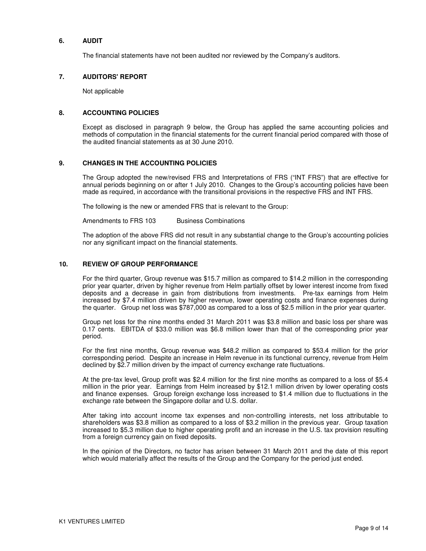#### **6. AUDIT**

The financial statements have not been audited nor reviewed by the Company's auditors.

#### **7. AUDITORS' REPORT**

Not applicable

#### **8. ACCOUNTING POLICIES**

Except as disclosed in paragraph 9 below, the Group has applied the same accounting policies and methods of computation in the financial statements for the current financial period compared with those of the audited financial statements as at 30 June 2010.

#### **9. CHANGES IN THE ACCOUNTING POLICIES**

The Group adopted the new/revised FRS and Interpretations of FRS ("INT FRS") that are effective for annual periods beginning on or after 1 July 2010. Changes to the Group's accounting policies have been made as required, in accordance with the transitional provisions in the respective FRS and INT FRS.

The following is the new or amended FRS that is relevant to the Group:

Amendments to FRS 103 Business Combinations

The adoption of the above FRS did not result in any substantial change to the Group's accounting policies nor any significant impact on the financial statements.

#### **10. REVIEW OF GROUP PERFORMANCE**

For the third quarter, Group revenue was \$15.7 million as compared to \$14.2 million in the corresponding prior year quarter, driven by higher revenue from Helm partially offset by lower interest income from fixed deposits and a decrease in gain from distributions from investments. Pre-tax earnings from Helm increased by \$7.4 million driven by higher revenue, lower operating costs and finance expenses during the quarter. Group net loss was \$787,000 as compared to a loss of \$2.5 million in the prior year quarter.

Group net loss for the nine months ended 31 March 2011 was \$3.8 million and basic loss per share was 0.17 cents. EBITDA of \$33.0 million was \$6.8 million lower than that of the corresponding prior year period.

For the first nine months, Group revenue was \$48.2 million as compared to \$53.4 million for the prior corresponding period. Despite an increase in Helm revenue in its functional currency, revenue from Helm declined by \$2.7 million driven by the impact of currency exchange rate fluctuations.

At the pre-tax level, Group profit was \$2.4 million for the first nine months as compared to a loss of \$5.4 million in the prior year. Earnings from Helm increased by \$12.1 million driven by lower operating costs and finance expenses. Group foreign exchange loss increased to \$1.4 million due to fluctuations in the exchange rate between the Singapore dollar and U.S. dollar.

After taking into account income tax expenses and non-controlling interests, net loss attributable to shareholders was \$3.8 million as compared to a loss of \$3.2 million in the previous year. Group taxation increased to \$5.3 million due to higher operating profit and an increase in the U.S. tax provision resulting from a foreign currency gain on fixed deposits.

In the opinion of the Directors, no factor has arisen between 31 March 2011 and the date of this report which would materially affect the results of the Group and the Company for the period just ended.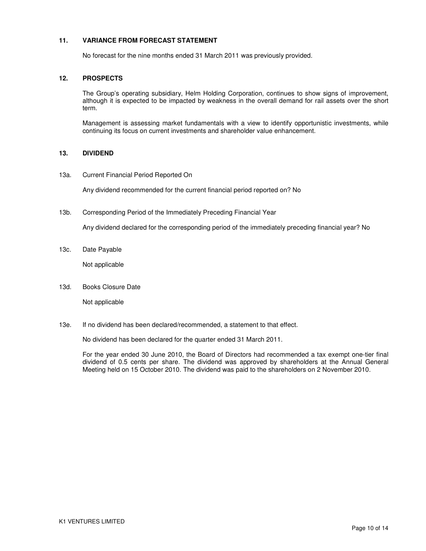### **11. VARIANCE FROM FORECAST STATEMENT**

No forecast for the nine months ended 31 March 2011 was previously provided.

#### **12. PROSPECTS**

The Group's operating subsidiary, Helm Holding Corporation, continues to show signs of improvement, although it is expected to be impacted by weakness in the overall demand for rail assets over the short term.

Management is assessing market fundamentals with a view to identify opportunistic investments, while continuing its focus on current investments and shareholder value enhancement.

### **13. DIVIDEND**

13a. Current Financial Period Reported On

Any dividend recommended for the current financial period reported on? No

13b. Corresponding Period of the Immediately Preceding Financial Year

Any dividend declared for the corresponding period of the immediately preceding financial year? No

13c. Date Payable

Not applicable

13d. Books Closure Date

Not applicable

13e. If no dividend has been declared/recommended, a statement to that effect.

No dividend has been declared for the quarter ended 31 March 2011.

For the year ended 30 June 2010, the Board of Directors had recommended a tax exempt one-tier final dividend of 0.5 cents per share. The dividend was approved by shareholders at the Annual General Meeting held on 15 October 2010. The dividend was paid to the shareholders on 2 November 2010.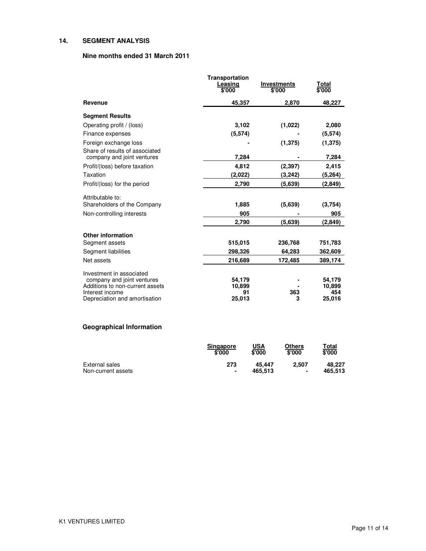## **14. SEGMENT ANALYSIS**

### **Nine months ended 31 March 2011**

|                                                              | <b>Transportation</b><br>Leasing<br>\$'000 | <b>Investments</b><br>\$'000 | Total<br>\$'000 |
|--------------------------------------------------------------|--------------------------------------------|------------------------------|-----------------|
| Revenue                                                      | 45,357                                     | 2,870                        | 48,227          |
| <b>Segment Results</b>                                       |                                            |                              |                 |
| Operating profit / (loss)                                    | 3,102                                      | (1,022)                      | 2,080           |
| Finance expenses                                             | (5,574)                                    |                              | (5,574)         |
| Foreign exchange loss                                        |                                            | (1, 375)                     | (1, 375)        |
| Share of results of associated<br>company and joint ventures | 7,284                                      |                              | 7,284           |
| Profit/(loss) before taxation                                | 4,812                                      | (2, 397)                     | 2,415           |
| Taxation                                                     | (2,022)                                    | (3,242)                      | (5, 264)        |
| Profit/(loss) for the period                                 | 2,790                                      | (5,639)                      | (2, 849)        |
| Attributable to:                                             |                                            |                              |                 |
| Shareholders of the Company                                  | 1,885                                      | (5,639)                      | (3,754)         |
| Non-controlling interests                                    | 905                                        |                              | 905             |
|                                                              | 2,790                                      | (5,639)                      | (2, 849)        |
| <b>Other information</b>                                     |                                            |                              |                 |
| Segment assets                                               | 515,015                                    | 236,768                      | 751,783         |
| Segment liabilities                                          | 298,326                                    | 64,283                       | 362,609         |
| Net assets                                                   | 216,689                                    | 172,485                      | 389,174         |
| Investment in associated                                     |                                            |                              |                 |
| company and joint ventures                                   | 54,179                                     |                              | 54,179          |
| Additions to non-current assets<br>Interest income           | 10,899<br>91                               | 363                          | 10,899<br>454   |
| Depreciation and amortisation                                | 25,013                                     | 3                            | 25.016          |

# **Geographical Information**

|                    | <b>Singapore</b><br>\$'000 | USA<br>\$'000 | <b>Others</b><br>\$'000 | T <u>otal</u><br>\$'000 |
|--------------------|----------------------------|---------------|-------------------------|-------------------------|
| External sales     | 273                        | 45.447        | 2.507                   | 48.227                  |
| Non-current assets | ٠                          | 465.513       | ٠                       | 465.513                 |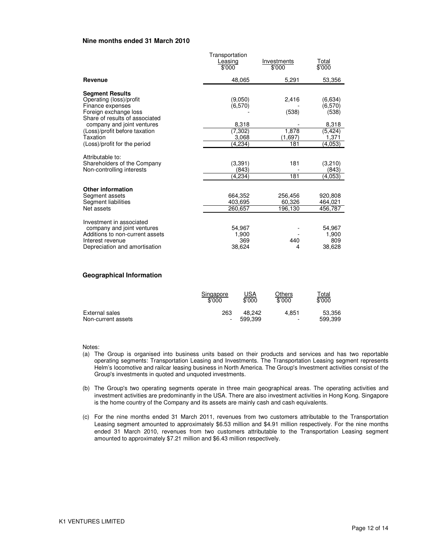#### **Nine months ended 31 March 2010**

|                                                                                                                                                                                                                                             | Transportation<br>Leasing<br>\$'000                        | Investments<br>\$'000                     | Total<br>\$'000                                                      |
|---------------------------------------------------------------------------------------------------------------------------------------------------------------------------------------------------------------------------------------------|------------------------------------------------------------|-------------------------------------------|----------------------------------------------------------------------|
| Revenue                                                                                                                                                                                                                                     | 48.065                                                     | 5,291                                     | 53,356                                                               |
| <b>Segment Results</b><br>Operating (loss)/profit<br>Finance expenses<br>Foreign exchange loss<br>Share of results of associated<br>company and joint ventures<br>(Loss)/profit before taxation<br>Taxation<br>(Loss)/profit for the period | (9,050)<br>(6,570)<br>8,318<br>(7,302)<br>3,068<br>(4,234) | 2,416<br>(538)<br>1,878<br>(1,697)<br>181 | (6,634)<br>(6,570)<br>(538)<br>8,318<br>(5, 424)<br>1,371<br>(4,053) |
| Attributable to:<br>Shareholders of the Company<br>Non-controlling interests                                                                                                                                                                | (3,391)<br>(843)<br>(4.234)                                | 181<br>181                                | (3,210)<br>(843)<br>(4,053)                                          |
| <b>Other information</b><br>Segment assets<br>Segment liabilities<br>Net assets                                                                                                                                                             | 664,352<br>403.695<br>260,657                              | 256,456<br>60,326<br>196,130              | 920,808<br>464,021<br>456,787                                        |
| Investment in associated<br>company and joint ventures<br>Additions to non-current assets<br>Interest revenue<br>Depreciation and amortisation                                                                                              | 54,967<br>1,900<br>369<br>38.624                           | 440<br>4                                  | 54,967<br>1,900<br>809<br>38,628                                     |

### **Geographical Information**

|                    | Singapore | USA     | Others                   | <u><sup>r</sup>otal</u> |
|--------------------|-----------|---------|--------------------------|-------------------------|
|                    | \$'000    | \$'000  | \$'000                   | \$'000                  |
| External sales     | 263       | 48.242  | 4.851                    | 53,356                  |
| Non-current assets |           | 599.399 | $\overline{\phantom{0}}$ | 599,399                 |

Notes:

- (a) The Group is organised into business units based on their products and services and has two reportable operating segments: Transportation Leasing and Investments. The Transportation Leasing segment represents Helm's locomotive and railcar leasing business in North America. The Group's Investment activities consist of the Group's investments in quoted and unquoted investments.
- (b) The Group's two operating segments operate in three main geographical areas. The operating activities and investment activities are predominantly in the USA. There are also investment activities in Hong Kong. Singapore is the home country of the Company and its assets are mainly cash and cash equivalents.
- (c) For the nine months ended 31 March 2011, revenues from two customers attributable to the Transportation Leasing segment amounted to approximately \$6.53 million and \$4.91 million respectively. For the nine months ended 31 March 2010, revenues from two customers attributable to the Transportation Leasing segment amounted to approximately \$7.21 million and \$6.43 million respectively.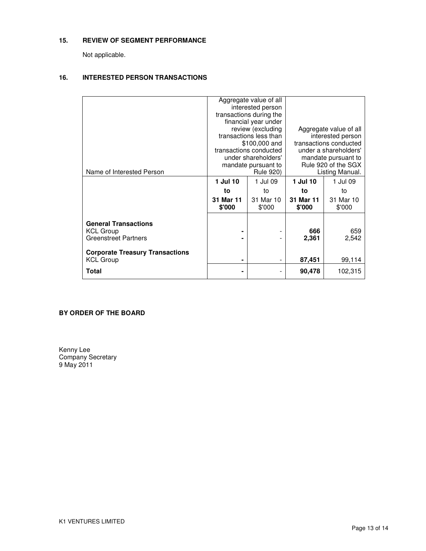## **15. REVIEW OF SEGMENT PERFORMANCE**

Not applicable.

## **16. INTERESTED PERSON TRANSACTIONS**

| Name of Interested Person                                                                                                                    | 1 Jul 10<br>to<br>31 Mar 11<br>\$'000 | Aggregate value of all<br>interested person<br>transactions during the<br>financial year under<br>review (excluding<br>transactions less than<br>\$100,000 and<br>transactions conducted<br>under shareholders'<br>mandate pursuant to<br>Rule 920)<br>1 Jul 09<br>to<br>31 Mar 10 |                        | Aggregate value of all<br>interested person<br>transactions conducted<br>under a shareholders'<br>mandate pursuant to<br>Rule 920 of the SGX<br>Listing Manual.<br>1 Jul 09<br>to<br>31 Mar 10<br>\$'000 |
|----------------------------------------------------------------------------------------------------------------------------------------------|---------------------------------------|------------------------------------------------------------------------------------------------------------------------------------------------------------------------------------------------------------------------------------------------------------------------------------|------------------------|----------------------------------------------------------------------------------------------------------------------------------------------------------------------------------------------------------|
| <b>General Transactions</b><br><b>KCL Group</b><br><b>Greenstreet Partners</b><br><b>Corporate Treasury Transactions</b><br><b>KCL Group</b> | ۰                                     | $\qquad \qquad \blacksquare$                                                                                                                                                                                                                                                       | 666<br>2,361<br>87,451 | 659<br>2,542<br>99,114                                                                                                                                                                                   |
| Total                                                                                                                                        |                                       |                                                                                                                                                                                                                                                                                    | 90,478                 | 102,315                                                                                                                                                                                                  |

### **BY ORDER OF THE BOARD**

Kenny Lee Company Secretary 9 May 2011